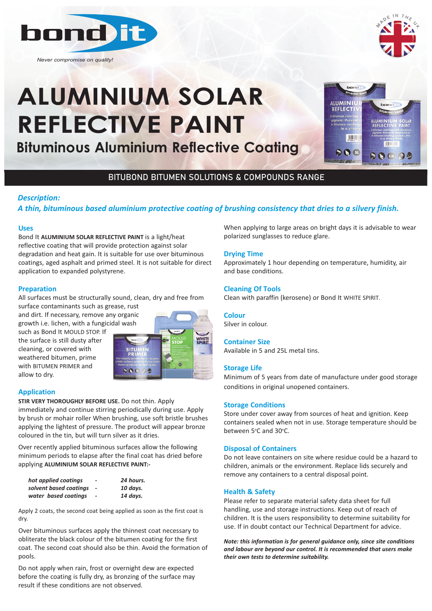

*Never compromise on quality!*

# **ALUMINIUM SOLAR REFLECTIVE PAINT**

**Bituminous Aluminium Reflective Coating Bituminous Aluminium Reflective Coating** 



# BITUBOND BITUMEN SOLUTIONS & COMPOUNDS RANGE

# *Description:*

# *A thin, bituminous based aluminium protective coating of brushing consistency that dries to a silvery finish.*

#### **Uses**

Bond It **ALUMINIUM SOLAR REFLECTIVE PAINT** is a light/heat reflective coating that will provide protection against solar degradation and heat gain. It is suitable for use over bituminous coatings, aged asphalt and primed steel. It is not suitable for direct application to expanded polystyrene.

# **Preparation**

All surfaces must be structurally sound, clean, dry and free from

surface contaminants such as grease, rust and dirt. If necessary, remove any organic growth i.e. lichen, with a fungicidal wash

such as Bond It MOULD STOP. If the surface is still dusty after cleaning, or covered with weathered bitumen, prime with BITUMEN PRIMER and allow to dry.



# **Application**

**STIR VERY THOROUGHLY BEFORE USE.** Do not thin. Apply immediately and continue stirring periodically during use. Apply by brush or mohair roller When brushing, use soft bristle brushes applying the lightest of pressure. The product will appear bronze coloured in the tin, but will turn silver as it dries.

Over recently applied bituminous surfaces allow the following minimum periods to elapse after the final coat has dried before applying **ALUMINIUM SOLAR REFLECTIVE PAINT:-** 

| hot applied coatings   | -                            | 24 hours. |
|------------------------|------------------------------|-----------|
| solvent based coatinas |                              | 10 davs.  |
| water based coatinas   | $\qquad \qquad \blacksquare$ | 14 davs.  |

Apply 2 coats, the second coat being applied as soon as the first coat is dry.

Over bituminous surfaces apply the thinnest coat necessary to obliterate the black colour of the bitumen coating for the first coat. The second coat should also be thin. Avoid the formation of pools.

Do not apply when rain, frost or overnight dew are expected before the coating is fully dry, as bronzing of the surface may result if these conditions are not observed.

When applying to large areas on bright days it is advisable to wear polarized sunglasses to reduce glare.

#### **Drying Time**

Approximately 1 hour depending on temperature, humidity, air and base conditions.

# **Cleaning Of Tools**

Clean with paraffin (kerosene) or Bond It WHITE SPIRIT.

#### **Colour**

Silver in colour.

# **Container Size**

Available in 5 and 25L metal tins.

# **Storage Life**

Minimum of 5 years from date of manufacture under good storage conditions in original unopened containers.

#### **Storage Conditions**

Store under cover away from sources of heat and ignition. Keep containers sealed when not in use. Storage temperature should be between 5°C and 30°C.

#### **Disposal of Containers**

Do not leave containers on site where residue could be a hazard to children, animals or the environment. Replace lids securely and remove any containers to a central disposal point.

#### **Health & Safety**

Please refer to separate material safety data sheet for full handling, use and storage instructions. Keep out of reach of children. It is the users responsibility to determine suitability for use. If in doubt contact our Technical Department for advice.

*Note: this information is for general guidance only, since site conditions and labour are beyond our control. It is recommended that users make their own tests to determine suitability.*